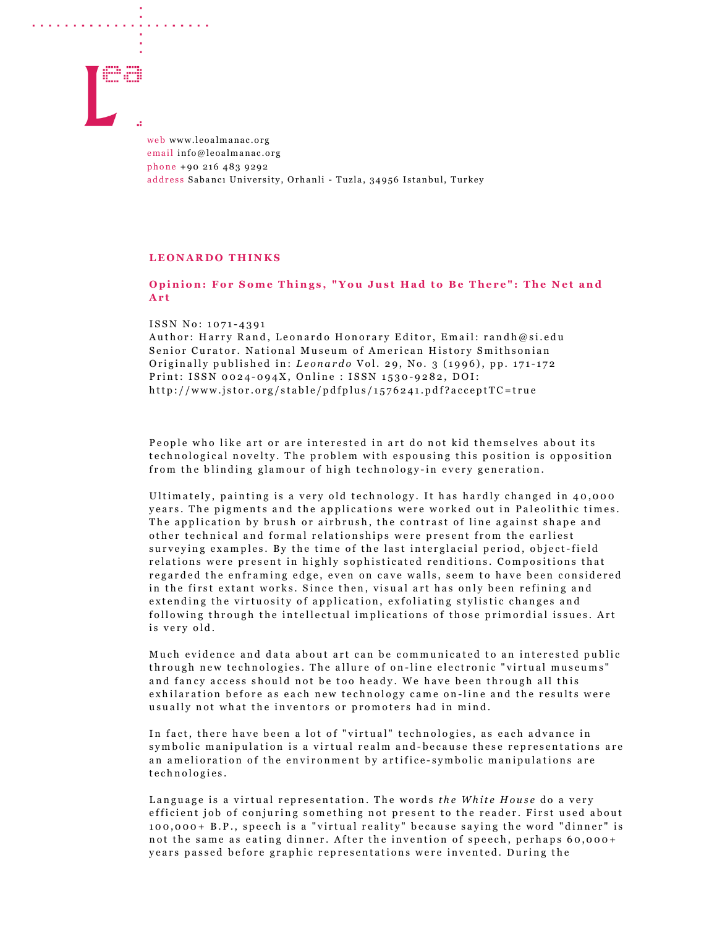

and a series of the contract of the contract of the contract of the contract of the contract of the contract of the contract of the contract of the contract of the contract of the contract of the contract of the contract o

web www.leoalmanac.org email info@leoalmanac.org phone +90 216 483 9292 address Sabancı University, Orhanli - Tuzla, 34956 Istanbul, Turkey

## LEONARDO THINKS

## Opinion: For Some Things, "You Just Had to Be There": The Net and A r t

## ISSN No: 1071-4391

Author: Harry Rand, Leonardo Honorary Editor, Email: randh@si.edu Senior Curator. National Museum of American History Smithsonian Originally published in: Leonardo Vol. 29, No. 3 (1996), pp.  $171-172$ Print: ISSN 0024-094X, Online : ISSN 1530-9282, DOI: http://www.jstor.org/stable/pdfplus/1576241.pdf?acceptTC=true

People who like art or are interested in art do not kid themselves about its te chnological novelty. The problem with espousing this position is opposition from the blinding glamour of high technology-in every generation.

Ultimately, painting is a very old technology. It has hardly changed in 40,000 years. The pigments and the applications were worked out in Paleolithic times. The application by brush or airbrush, the contrast of line against shape and other technical and formal relationships were present from the earliest surveying examples. By the time of the last interglacial period, object-field relations were present in highly sophisticated renditions. Compositions that regarded the enframing edge, even on cave walls, seem to have been considered in the first extant works. Since then, visual art has only been refining and extending the virtuosity of application, exfoliating stylistic changes and following through the intellectual implications of those primordial issues. Art is very old.

Much evidence and data about art can be communicated to an interested public through new technologies. The allure of on-line electronic "virtual museums" and fancy access should not be too heady. We have been through all this exhilaration before as each new technology came on-line and the results were usually not what the inventors or promoters had in mind.

In fact, there have been a lot of "virtual" technologies, as each advance in symbolic manipulation is a virtual realm and-because these representations are an amelioration of the environment by artifice-symbolic manipulations are te chnologies.

Language is a virtual representation. The words the White House do a very efficient job of conjuring something not present to the reader. First used about 100,000 + B.P., speech is a "virtual reality" because saying the word "dinner" is not the same as eating dinner. After the invention of speech, perhaps 60,000+ years passed before graphic representations were invented. During the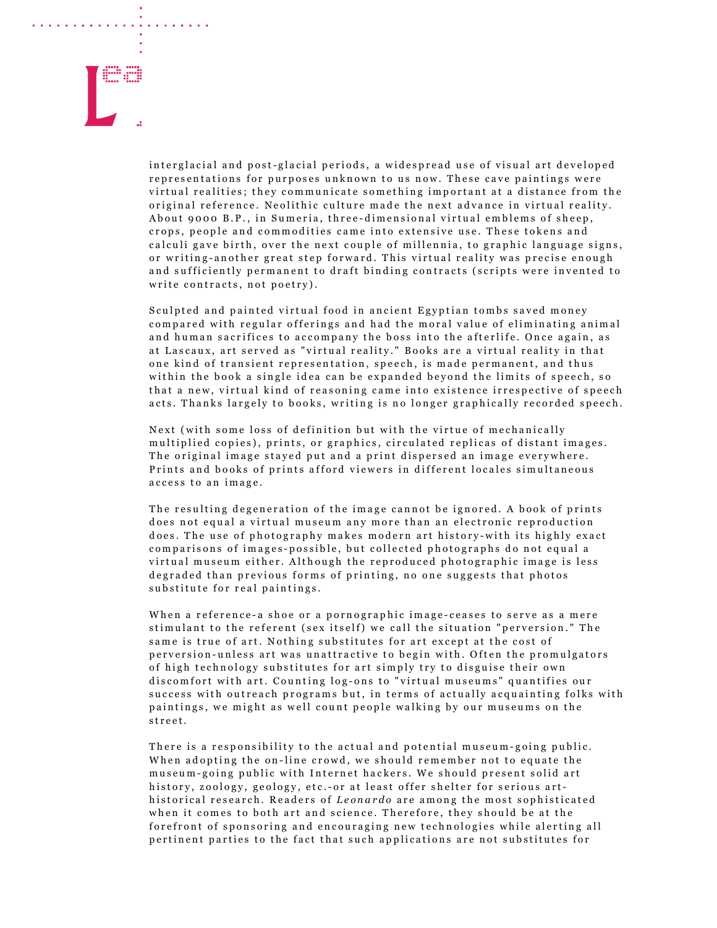

a construction of the construction of the construction of the construction of the construction of the construction of the construction of the construction of the construction of the construction of the construction of the

interglacial and post-glacial periods, a widespread use of visual art developed representations for purposes unknown to us now. These cave paintings were virtual realities; they communicate something important at a distance from the original reference. Neolithic culture made the next advance in virtual reality. About 9000 B.P., in Sumeria, three-dimensional virtual emblems of sheep, crops, people and commodities came into extensive use. These tokens and calculi gave birth, over the next couple of millennia, to graphic language signs, or writing-another great step forward. This virtual reality was precise enough and sufficiently permanent to draft binding contracts (scripts were invented to write contracts, not poetry).

Sculpted and painted virtual food in ancient Egyptian tombs saved money compared with regular offerings and had the moral value of eliminating animal and human sacrifices to accompany the boss into the afterlife. Once again, as at Lascaux, art served as "virtual reality." Books are a virtual reality in that one kind of transient representation, speech, is made permanent, and thus within the book a single idea can be expanded beyond the limits of speech, so that a new, virtual kind of reasoning came into existence irrespective of speech acts. Thanks largely to books, writing is no longer graphically recorded speech.

Next (with some loss of definition but with the virtue of mechanically multiplied copies), prints, or graphics, circulated replicas of distant images. The original image stayed put and a print dispersed an image everywhere. Prints and books of prints afford viewers in different locales simultaneous access to an image.

The resulting degeneration of the image cannot be ignored. A book of prints does not equal a virtual museum any more than an electronic reproduction does. The use of photography makes modern art history-with its highly exact comparisons of images-possible, but collected photographs do not equal a virtual museum either. Although the reproduced photographic image is less degraded than previous forms of printing, no one suggests that photos substitute for real paintings.

When a reference-a shoe or a pornographic image-ceases to serve as a mere stimulant to the referent (sex itself) we call the situation "perversion." The same is true of art. Nothing substitutes for art except at the cost of perversion-unless art was unattractive to begin with. Often the promulgators of high technology substitutes for art simply try to disguise their own discomfort with art. Counting log-ons to "virtual museums" quantifies our success with outreach programs but, in terms of actually acquainting folks with paintings, we might as well count people walking by our museums on the street.

There is a responsibility to the actual and potential museum-going public. When adopting the on-line crowd, we should remember not to equate the museum-going public with Internet hackers. We should present solid art history, zoology, geology, etc.-or at least offer shelter for serious arthistorical research. Readers of Leonardo are among the most sophisticated when it comes to both art and science. Therefore, they should be at the forefront of sponsoring and encouraging new technologies while alerting all pertinent parties to the fact that such applications are not substitutes for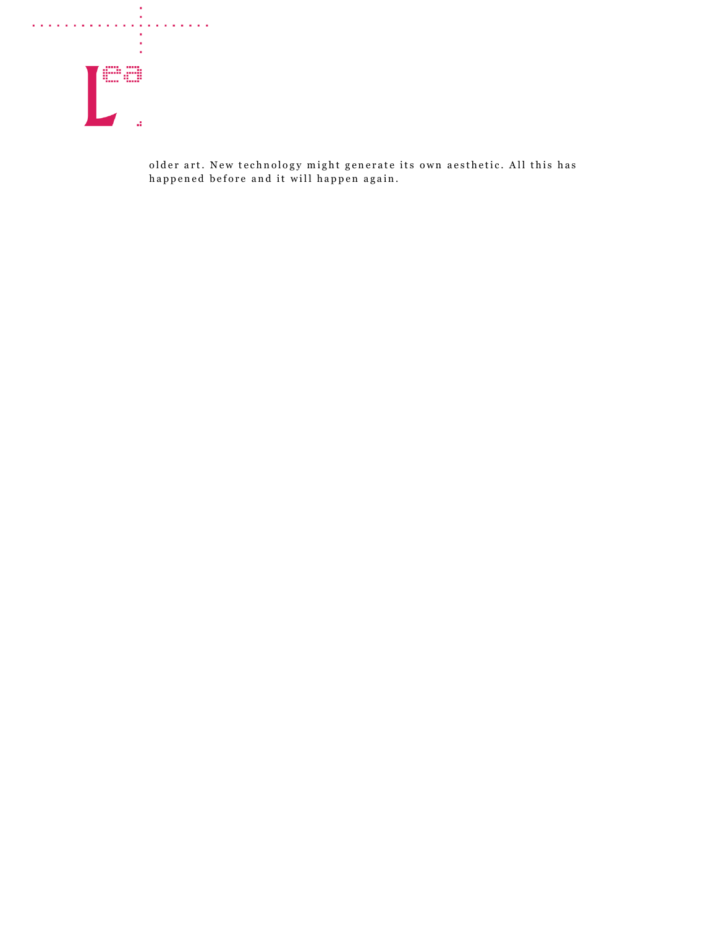

older art. New technology might generate its own aesthetic. All this has happened before and it will happen again.